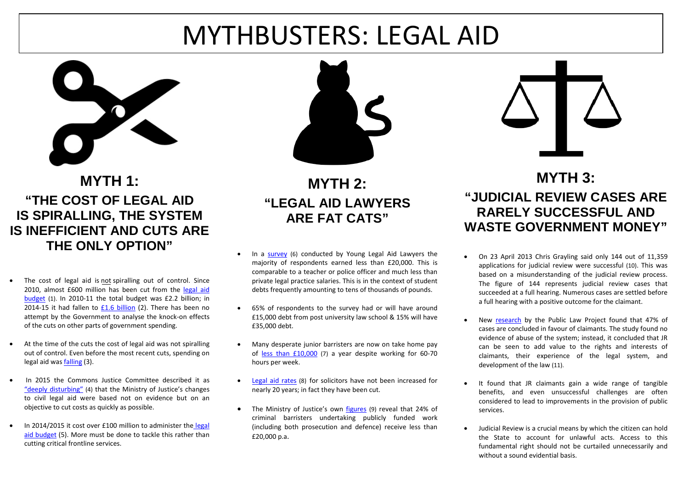# MYTHBUSTERS: LEGAL AID



### **MYTH 1: "THE COST OF LEGAL AID IS SPIRALLING, THE SYSTEM IS INEFFICIENT AND CUTS ARE THE ONLY OPTION"**

- The cost of legal aid is not spiralling out of control. Since 2010, almost £600 million has been cut from the [legal aid](http://www.parliament.uk/documents/commons-vote-office/June%202015/10%20June/2.Justice-Legal%20Aid.pdf)  [budget](http://www.parliament.uk/documents/commons-vote-office/June%202015/10%20June/2.Justice-Legal%20Aid.pdf) (1). In 2010-11 the total budget was £2.2 billion; in 2014-15 it had fallen to [£1.6 billion](https://www.nao.org.uk/wp-content/uploads/2015/08/Ministry-of-Justice-short-guide.pdf) (2). There has been no attempt by the Government to analyse the knock-on effects of the cuts on other parts of government spending.
- At the time of the cuts the cost of legal aid was not spiralling out of control. Even before the most recent cuts, spending on legal aid wa[s falling](https://www.gov.uk/government/uploads/system/uploads/attachment_data/file/366575/legal-aid-statistics-2013-14.pdf) (3).
- In 2015 the Commons Justice Committee described it as ["deeply disturbing"](http://www.parliament.uk/business/committees/committees-a-z/commons-select/public-accounts-committee/news/report-implementing-reforms-to-civil-legal-aid/) (4) that the Ministry of Justice's changes to civil legal aid were based not on evidence but on an objective to cut costs as quickly as possible.
- In 2014/2015 it cost over £100 million to administer the legal [aid budget](https://www.gov.uk/government/uploads/system/uploads/attachment_data/file/434016/moj-annual-report-and-accounts-2014-15.pdf) (5). More must be done to tackle this rather than cutting critical frontline services.



**MYTH 2: "LEGAL AID LAWYERS ARE FAT CATS"** 

- In a [survey](http://www.younglegalaidlawyers.org/sites/default/files/One%20step%20forward%20two%20steps%20back.pdf) (6) conducted by Young Legal Aid Lawyers the majority of respondents earned less than £20,000. This is comparable to a teacher or police officer and much less than private legal practice salaries. This is in the context of student debts frequently amounting to tens of thousands of pounds.
- 65% of respondents to the survey had or will have around £15,000 debt from post university law school & 15% will have £35,000 debt.
- Many desperate junior barristers are now on take home pay of [less than £10,000](https://www.gov.uk/government/uploads/system/uploads/attachment_data/file/269061/laa-barrister-spend.pdf) (7) a year despite working for 60-70 hours per week.
- [Legal aid rates](http://www.publications.parliament.uk/pa/cm201011/cmpublic/legalaid/memo/la108.htm) (8) for solicitors have not been increased for nearly 20 years; in fact they have been cut.
- The Ministry of Justice's own [figures](https://www.gov.uk/government/uploads/system/uploads/attachment_data/file/269061/laa-barrister-spend.pdf) (9) reveal that 24% of criminal barristers undertaking publicly funded work (including both prosecution and defence) receive less than £20,000 p.a.



#### **MYTH 3: "JUDICIAL REVIEW CASES ARE RARELY SUCCESSFUL AND WASTE GOVERNMENT MONEY"**

- On 23 April 2013 Chris Grayling said only 144 out of 11,359 applications for judicial review were successful (10). This was based on a misunderstanding of the judicial review process. The figure of 144 represents judicial review cases that succeeded at a full hearing. Numerous cases are settled before a full hearing with a positive outcome for the claimant.
- New [research](http://www.nuffieldfoundation.org/sites/default/files/files/Value-and-Effects-of-Judicial-Review.pdf) by the Public Law Project found that 47% of cases are concluded in favour of claimants. The study found no evidence of abuse of the system; instead, it concluded that JR can be seen to add value to the rights and interests of claimants, their experience of the legal system, and development of the law (11).
- It found that JR claimants gain a wide range of tangible benefits, and even unsuccessful challenges are often considered to lead to improvements in the provision of public services.
- Judicial Review is a crucial means by which the citizen can hold the State to account for unlawful acts. Access to this fundamental right should not be curtailed unnecessarily and without a sound evidential basis.